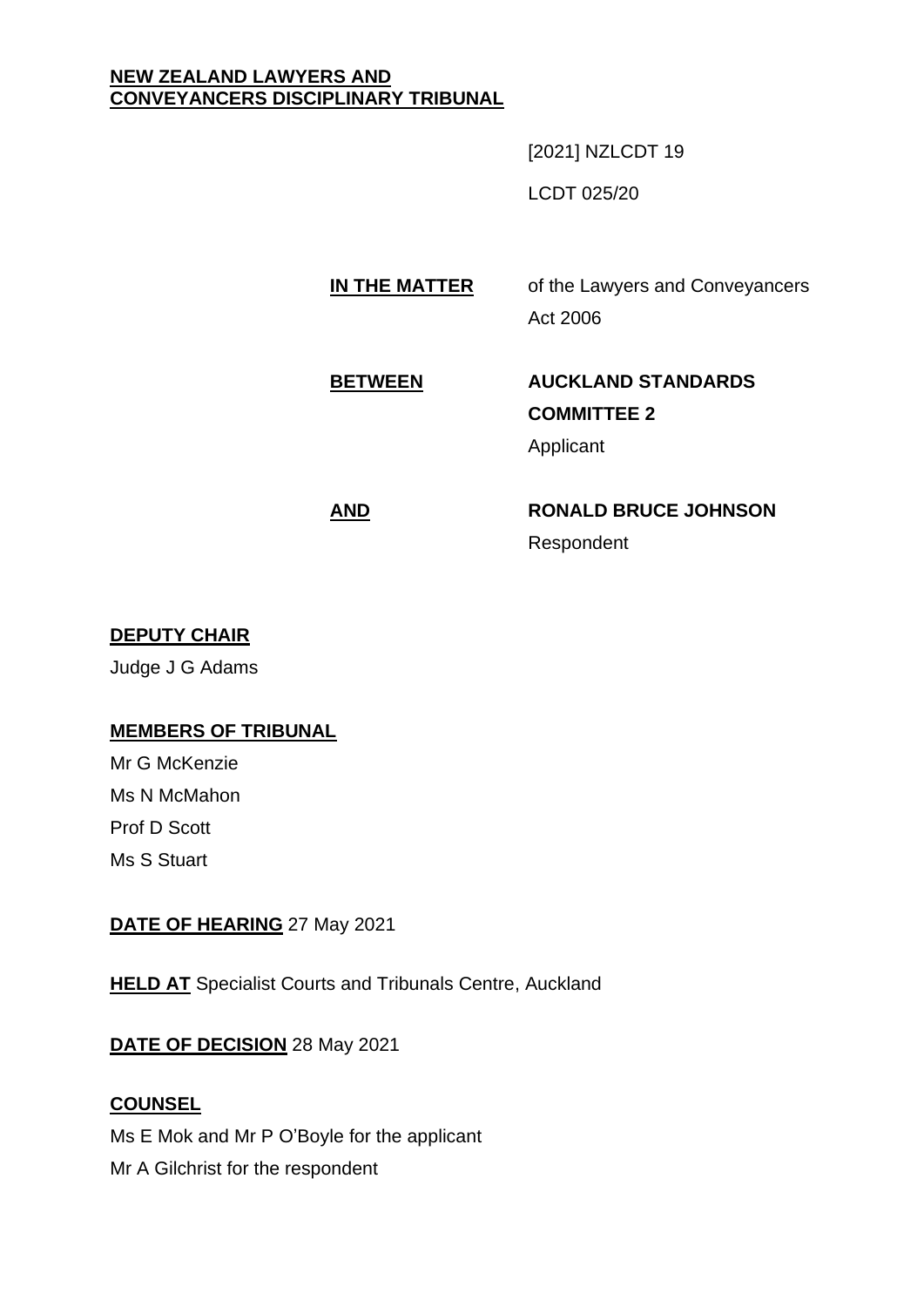### **NEW ZEALAND LAWYERS AND CONVEYANCERS DISCIPLINARY TRIBUNAL**

[2021] NZLCDT 19

LCDT 025/20

# **IN THE MATTER** of the Lawyers and Conveyancers Act 2006

# **BETWEEN AUCKLAND STANDARDS COMMITTEE 2** Applicant

# **AND RONALD BRUCE JOHNSON** Respondent

# **DEPUTY CHAIR**

Judge J G Adams

# **MEMBERS OF TRIBUNAL**

Mr G McKenzie Ms N McMahon Prof D Scott Ms S Stuart

# **DATE OF HEARING** 27 May 2021

**HELD AT** Specialist Courts and Tribunals Centre, Auckland

# **DATE OF DECISION** 28 May 2021

# **COUNSEL**

Ms E Mok and Mr P O'Boyle for the applicant

Mr A Gilchrist for the respondent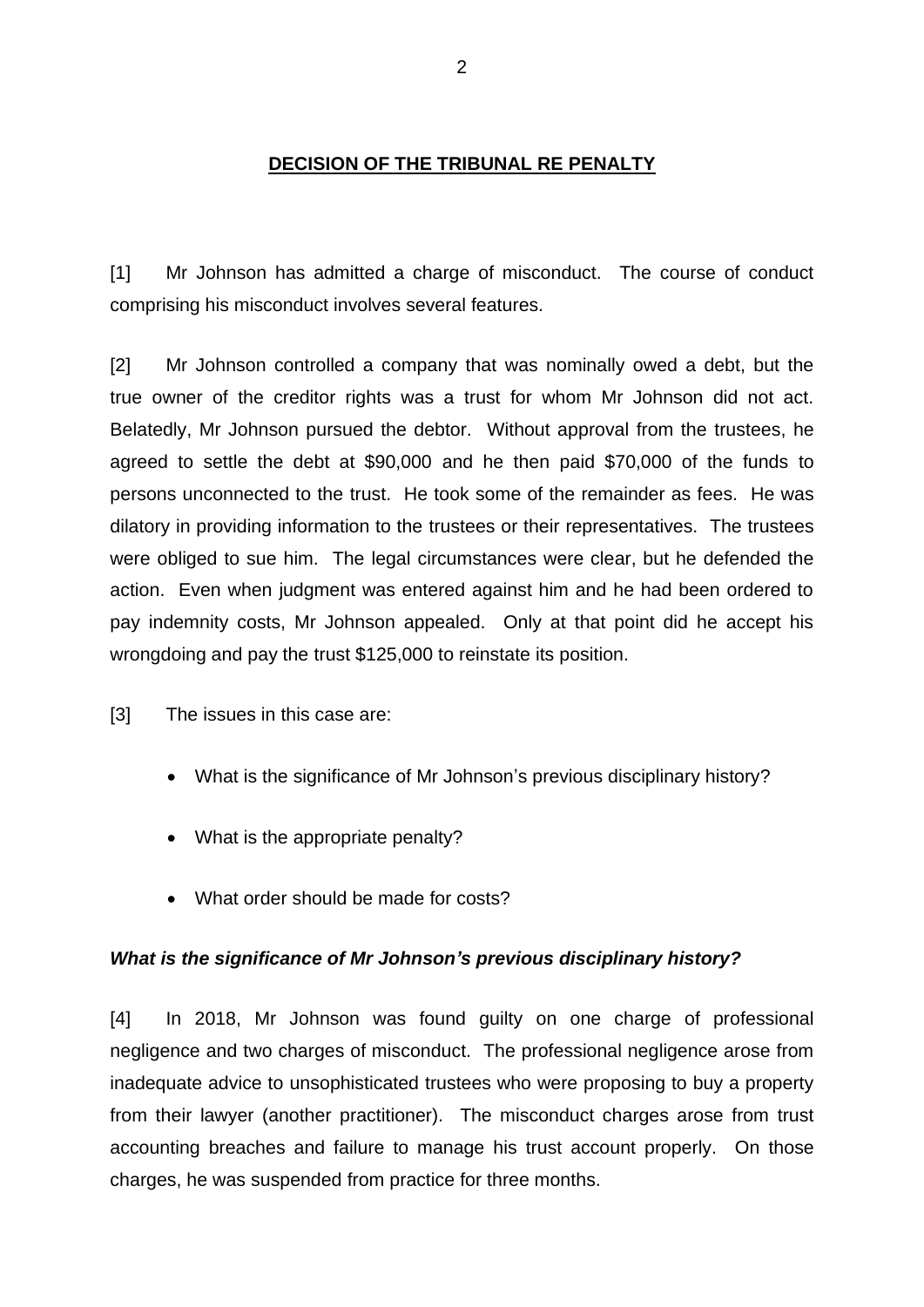### **DECISION OF THE TRIBUNAL RE PENALTY**

[1] Mr Johnson has admitted a charge of misconduct. The course of conduct comprising his misconduct involves several features.

[2] Mr Johnson controlled a company that was nominally owed a debt, but the true owner of the creditor rights was a trust for whom Mr Johnson did not act. Belatedly, Mr Johnson pursued the debtor. Without approval from the trustees, he agreed to settle the debt at \$90,000 and he then paid \$70,000 of the funds to persons unconnected to the trust. He took some of the remainder as fees. He was dilatory in providing information to the trustees or their representatives. The trustees were obliged to sue him. The legal circumstances were clear, but he defended the action. Even when judgment was entered against him and he had been ordered to pay indemnity costs, Mr Johnson appealed. Only at that point did he accept his wrongdoing and pay the trust \$125,000 to reinstate its position.

[3] The issues in this case are:

- What is the significance of Mr Johnson's previous disciplinary history?
- What is the appropriate penalty?
- What order should be made for costs?

#### *What is the significance of Mr Johnson's previous disciplinary history?*

[4] In 2018, Mr Johnson was found guilty on one charge of professional negligence and two charges of misconduct. The professional negligence arose from inadequate advice to unsophisticated trustees who were proposing to buy a property from their lawyer (another practitioner). The misconduct charges arose from trust accounting breaches and failure to manage his trust account properly. On those charges, he was suspended from practice for three months.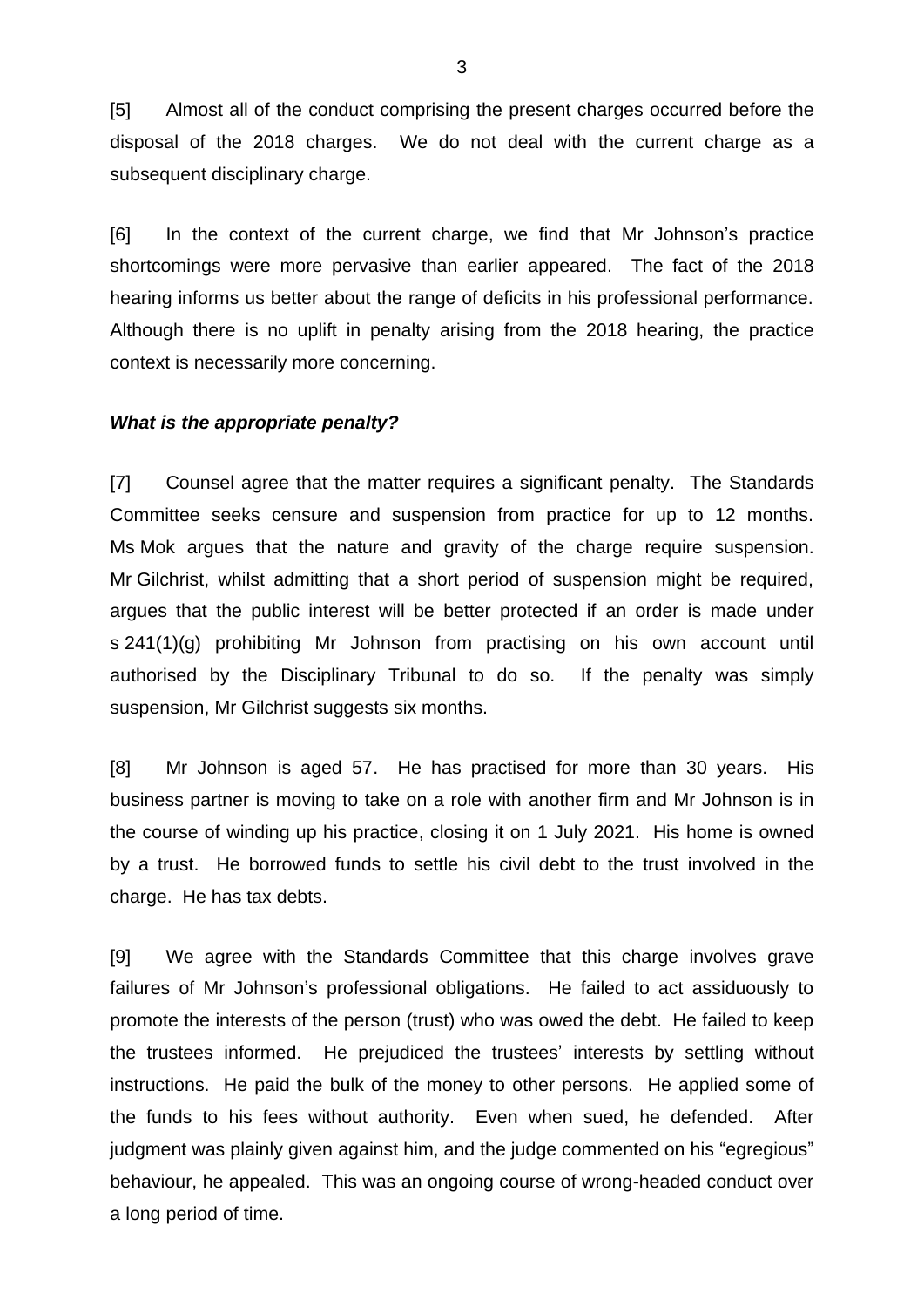[5] Almost all of the conduct comprising the present charges occurred before the disposal of the 2018 charges. We do not deal with the current charge as a subsequent disciplinary charge.

[6] In the context of the current charge, we find that Mr Johnson's practice shortcomings were more pervasive than earlier appeared. The fact of the 2018 hearing informs us better about the range of deficits in his professional performance. Although there is no uplift in penalty arising from the 2018 hearing, the practice context is necessarily more concerning.

#### *What is the appropriate penalty?*

[7] Counsel agree that the matter requires a significant penalty. The Standards Committee seeks censure and suspension from practice for up to 12 months. Ms Mok argues that the nature and gravity of the charge require suspension. Mr Gilchrist, whilst admitting that a short period of suspension might be required, argues that the public interest will be better protected if an order is made under s 241(1)(g) prohibiting Mr Johnson from practising on his own account until authorised by the Disciplinary Tribunal to do so. If the penalty was simply suspension, Mr Gilchrist suggests six months.

[8] Mr Johnson is aged 57. He has practised for more than 30 years. His business partner is moving to take on a role with another firm and Mr Johnson is in the course of winding up his practice, closing it on 1 July 2021. His home is owned by a trust. He borrowed funds to settle his civil debt to the trust involved in the charge. He has tax debts.

[9] We agree with the Standards Committee that this charge involves grave failures of Mr Johnson's professional obligations. He failed to act assiduously to promote the interests of the person (trust) who was owed the debt. He failed to keep the trustees informed. He prejudiced the trustees' interests by settling without instructions. He paid the bulk of the money to other persons. He applied some of the funds to his fees without authority. Even when sued, he defended. After judgment was plainly given against him, and the judge commented on his "egregious" behaviour, he appealed. This was an ongoing course of wrong-headed conduct over a long period of time.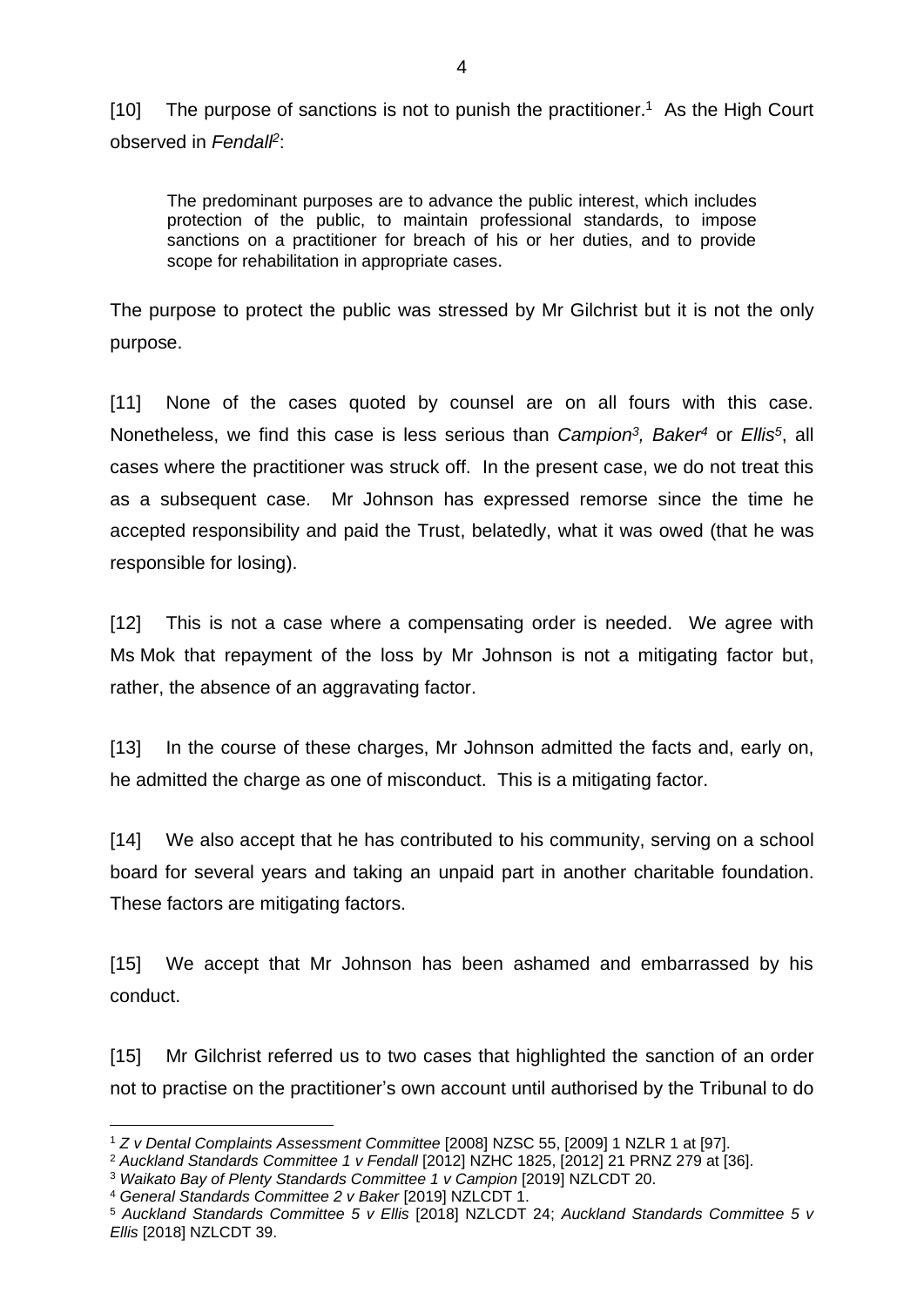[10] The purpose of sanctions is not to punish the practitioner.<sup>1</sup> As the High Court observed in *Fendall<sup>2</sup>* :

The predominant purposes are to advance the public interest, which includes protection of the public, to maintain professional standards, to impose sanctions on a practitioner for breach of his or her duties, and to provide scope for rehabilitation in appropriate cases.

The purpose to protect the public was stressed by Mr Gilchrist but it is not the only purpose.

[11] None of the cases quoted by counsel are on all fours with this case. Nonetheless, we find this case is less serious than *Campion<sup>3</sup> , Baker<sup>4</sup>* or *Ellis<sup>5</sup>* , all cases where the practitioner was struck off. In the present case, we do not treat this as a subsequent case. Mr Johnson has expressed remorse since the time he accepted responsibility and paid the Trust, belatedly, what it was owed (that he was responsible for losing).

[12] This is not a case where a compensating order is needed. We agree with Ms Mok that repayment of the loss by Mr Johnson is not a mitigating factor but, rather, the absence of an aggravating factor.

[13] In the course of these charges, Mr Johnson admitted the facts and, early on, he admitted the charge as one of misconduct. This is a mitigating factor.

[14] We also accept that he has contributed to his community, serving on a school board for several years and taking an unpaid part in another charitable foundation. These factors are mitigating factors.

[15] We accept that Mr Johnson has been ashamed and embarrassed by his conduct.

[15] Mr Gilchrist referred us to two cases that highlighted the sanction of an order not to practise on the practitioner's own account until authorised by the Tribunal to do

<sup>1</sup> *Z v Dental Complaints Assessment Committee* [2008] NZSC 55, [2009] 1 NZLR 1 at [97].

<sup>2</sup> *Auckland Standards Committee 1 v Fendall* [2012] NZHC 1825, [2012] 21 PRNZ 279 at [36].

<sup>3</sup> *Waikato Bay of Plenty Standards Committee 1 v Campion* [2019] NZLCDT 20.

<sup>4</sup> *General Standards Committee 2 v Baker* [2019] NZLCDT 1.

<sup>5</sup> *Auckland Standards Committee 5 v Ellis* [2018] NZLCDT 24; *Auckland Standards Committee 5 v Ellis* [2018] NZLCDT 39.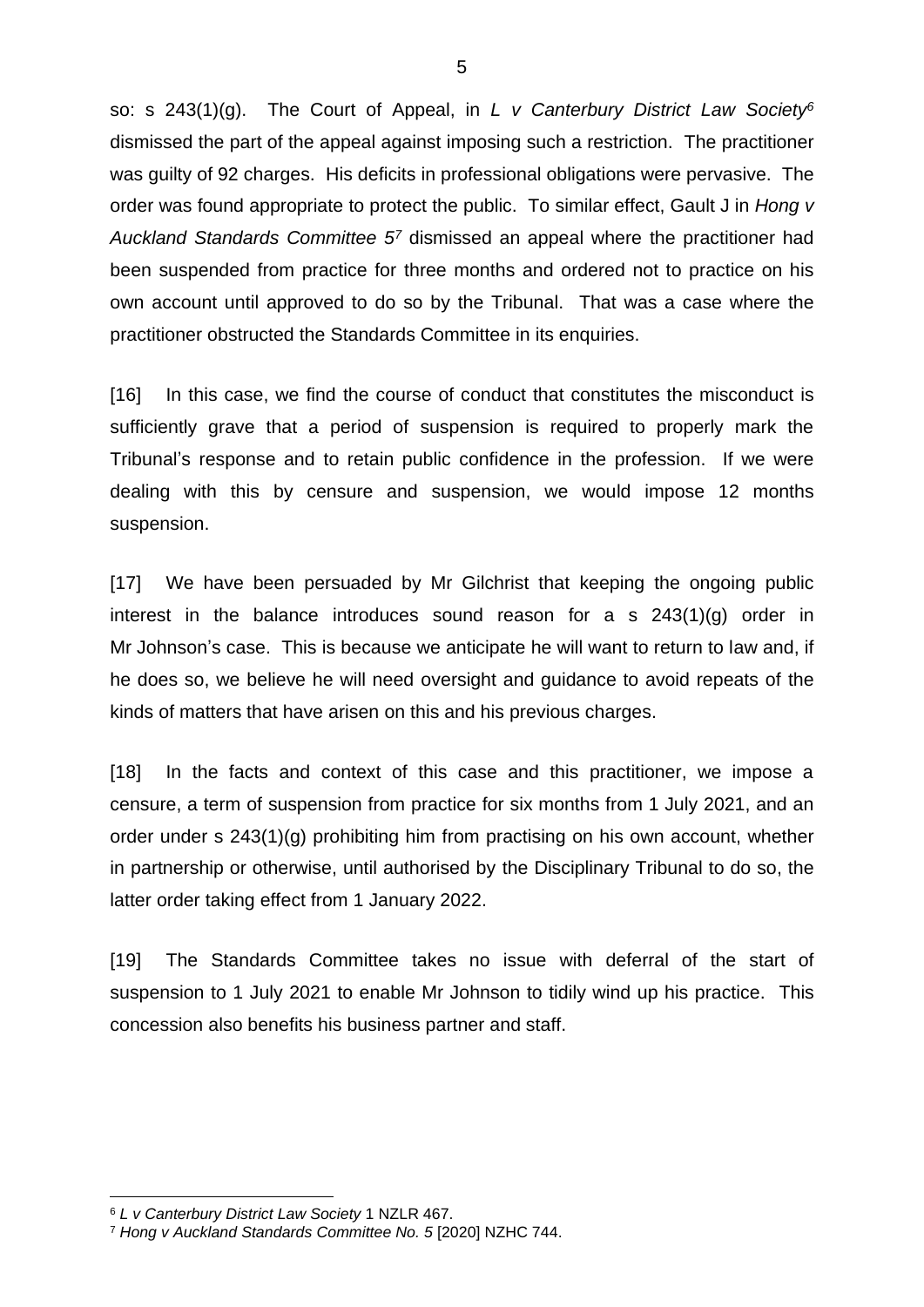so: s 243(1)(g). The Court of Appeal, in *L v Canterbury District Law Society<sup>6</sup>* dismissed the part of the appeal against imposing such a restriction. The practitioner was guilty of 92 charges. His deficits in professional obligations were pervasive. The order was found appropriate to protect the public. To similar effect, Gault J in *Hong v Auckland Standards Committee 5<sup>7</sup>* dismissed an appeal where the practitioner had been suspended from practice for three months and ordered not to practice on his own account until approved to do so by the Tribunal. That was a case where the practitioner obstructed the Standards Committee in its enquiries.

[16] In this case, we find the course of conduct that constitutes the misconduct is sufficiently grave that a period of suspension is required to properly mark the Tribunal's response and to retain public confidence in the profession. If we were dealing with this by censure and suspension, we would impose 12 months suspension.

[17] We have been persuaded by Mr Gilchrist that keeping the ongoing public interest in the balance introduces sound reason for a s 243(1)(g) order in Mr Johnson's case. This is because we anticipate he will want to return to law and, if he does so, we believe he will need oversight and guidance to avoid repeats of the kinds of matters that have arisen on this and his previous charges.

[18] In the facts and context of this case and this practitioner, we impose a censure, a term of suspension from practice for six months from 1 July 2021, and an order under s 243(1)(g) prohibiting him from practising on his own account, whether in partnership or otherwise, until authorised by the Disciplinary Tribunal to do so, the latter order taking effect from 1 January 2022.

[19] The Standards Committee takes no issue with deferral of the start of suspension to 1 July 2021 to enable Mr Johnson to tidily wind up his practice. This concession also benefits his business partner and staff.

<sup>6</sup> *L v Canterbury District Law Society* 1 NZLR 467.

<sup>7</sup> *Hong v Auckland Standards Committee No. 5* [2020] NZHC 744.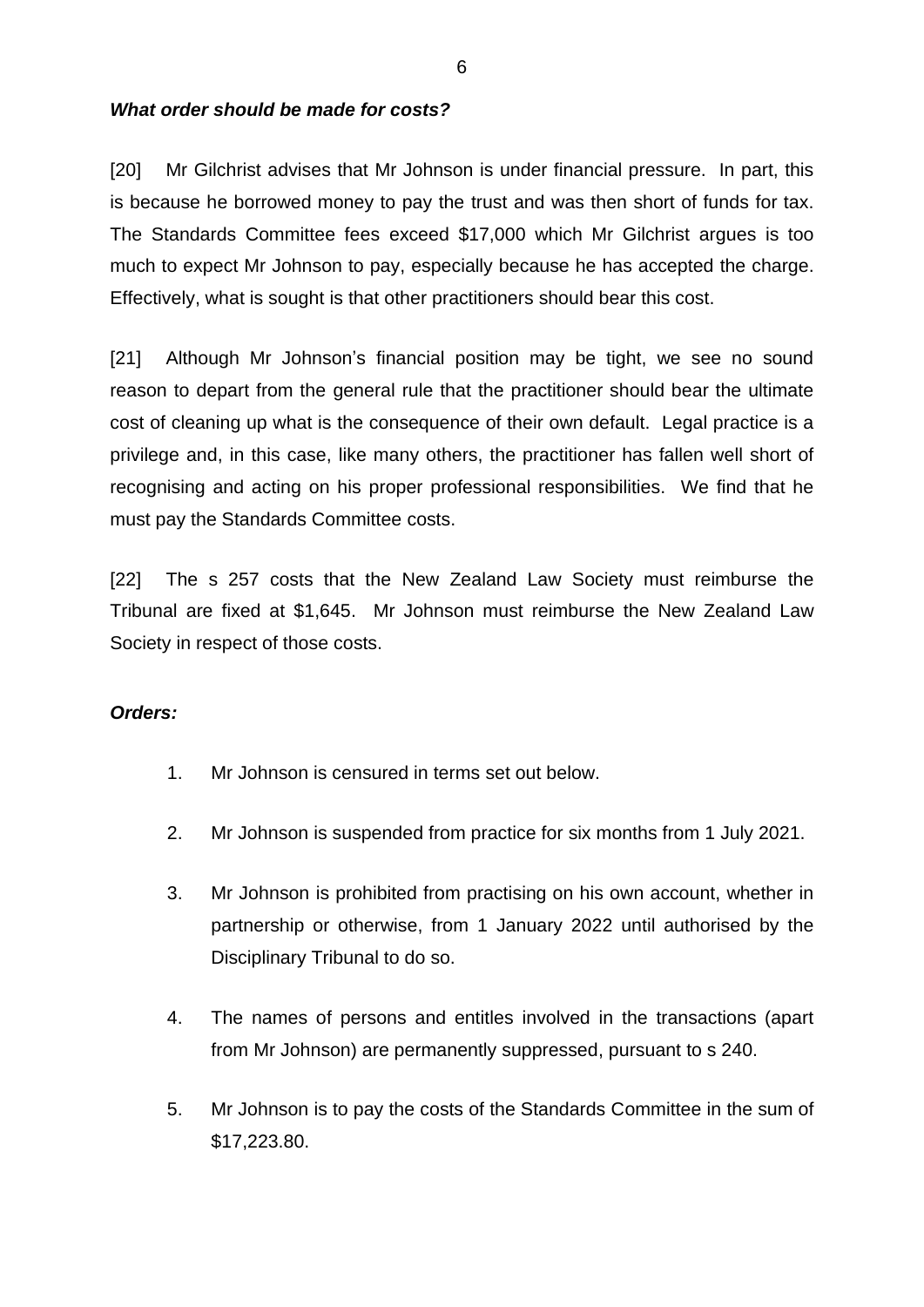### *What order should be made for costs?*

[20] Mr Gilchrist advises that Mr Johnson is under financial pressure. In part, this is because he borrowed money to pay the trust and was then short of funds for tax. The Standards Committee fees exceed \$17,000 which Mr Gilchrist argues is too much to expect Mr Johnson to pay, especially because he has accepted the charge. Effectively, what is sought is that other practitioners should bear this cost.

[21] Although Mr Johnson's financial position may be tight, we see no sound reason to depart from the general rule that the practitioner should bear the ultimate cost of cleaning up what is the consequence of their own default. Legal practice is a privilege and, in this case, like many others, the practitioner has fallen well short of recognising and acting on his proper professional responsibilities. We find that he must pay the Standards Committee costs.

[22] The s 257 costs that the New Zealand Law Society must reimburse the Tribunal are fixed at \$1,645. Mr Johnson must reimburse the New Zealand Law Society in respect of those costs.

#### *Orders:*

- 1. Mr Johnson is censured in terms set out below.
- 2. Mr Johnson is suspended from practice for six months from 1 July 2021.
- 3. Mr Johnson is prohibited from practising on his own account, whether in partnership or otherwise, from 1 January 2022 until authorised by the Disciplinary Tribunal to do so.
- 4. The names of persons and entitles involved in the transactions (apart from Mr Johnson) are permanently suppressed, pursuant to s 240.
- 5. Mr Johnson is to pay the costs of the Standards Committee in the sum of \$17,223.80.